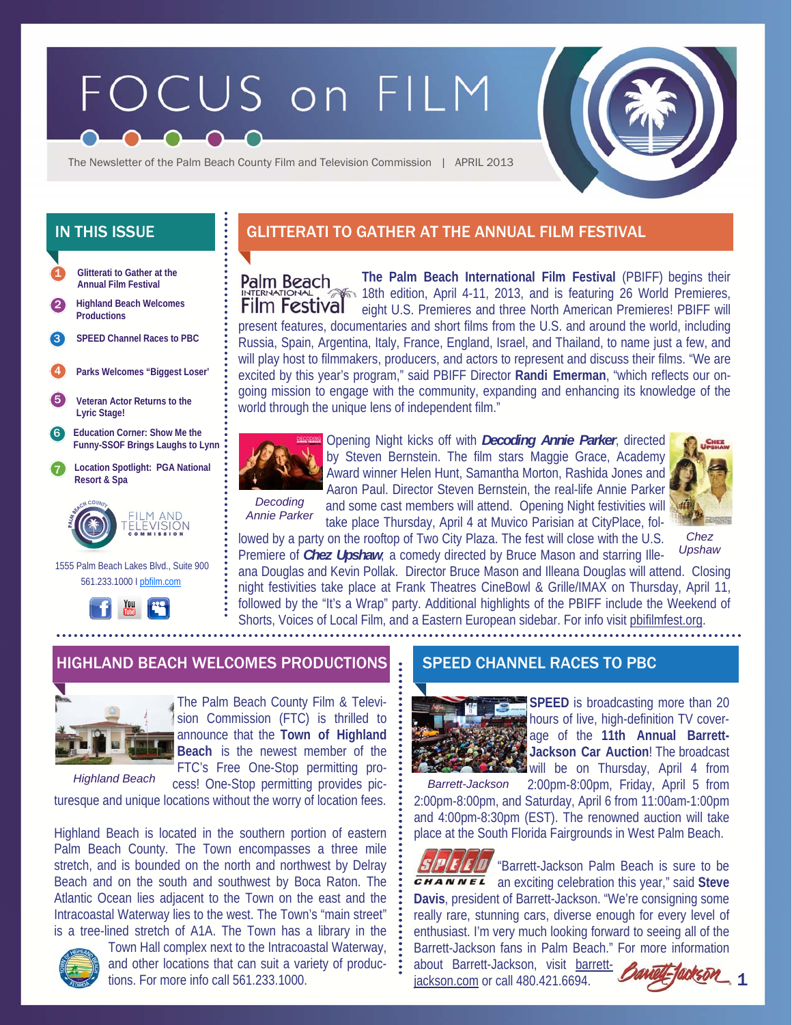# FOCUS on FILM



The Newsletter of the Palm Beach County Film and Television Commission | APRIL 2013

**Glitterati to Gather at the Annual Film Festival SPEED Channel Races to PBC**  1 2 3 4 5 6 7 **Location Spotlight: PGA National Resort & Spa Education Corner: Show Me the Funny-SSOF Brings Laughs to Lynn Highland Beach Welcomes Productions Veteran Actor Returns to the Lyric Stage! Parks Welcomes "Biggest Loser'** 



 1555 Palm Beach Lakes Blvd., Suite 900 561.233.1000 I pbfilm.com



# IN THIS ISSUE **The GLITTERATI TO GATHER AT THE ANNUAL FILM FESTIVAL**

**The Palm Beach International Film Festival** (PBIFF) begins their **Palm Beach** 18th edition, April 4-11, 2013, and is featuring 26 World Premieres, **Film Festival** eight U.S. Premieres and three North American Premieres! PBIFF will present features, documentaries and short films from the U.S. and around the world, including Russia, Spain, Argentina, Italy, France, England, Israel, and Thailand, to name just a few, and will play host to filmmakers, producers, and actors to represent and discuss their films. "We are excited by this year's program," said PBIFF Director **Randi Emerman**, "which reflects our ongoing mission to engage with the community, expanding and enhancing its knowledge of the world through the unique lens of independent film."



*Decoding Annie Parker* 

Opening Night kicks off with *Decoding Annie Parker*, directed by Steven Bernstein. The film stars Maggie Grace, Academy Award winner Helen Hunt, Samantha Morton, Rashida Jones and Aaron Paul. Director Steven Bernstein, the real-life Annie Parker and some cast members will attend. Opening Night festivities will take place Thursday, April 4 at Muvico Parisian at CityPlace, fol-



*Chez Upshaw* 

lowed by a party on the rooftop of Two City Plaza. The fest will close with the U.S. Premiere of *Chez Upshaw*, a comedy directed by Bruce Mason and starring Ille-

ana Douglas and Kevin Pollak. Director Bruce Mason and Illeana Douglas will attend. Closing night festivities take place at Frank Theatres CineBowl & Grille/IMAX on Thursday, April 11, followed by the "It's a Wrap" party. Additional highlights of the PBIFF include the Weekend of Shorts, Voices of Local Film, and a Eastern European sidebar. For info visit pbifilmfest.org.

## HIGHLAND BEACH WELCOMES PRODUCTIONS SPEED CHANNEL RACES TO PBC



The Palm Beach County Film & Television Commission (FTC) is thrilled to announce that the **Town of Highland Beach** is the newest member of the FTC's Free One-Stop permitting pro-

cess! One-Stop permitting provides picturesque and unique locations without the worry of location fees. *Highland Beach* 

Highland Beach is located in the southern portion of eastern Palm Beach County. The Town encompasses a three mile stretch, and is bounded on the north and northwest by Delray Beach and on the south and southwest by Boca Raton. The Atlantic Ocean lies adjacent to the Town on the east and the Intracoastal Waterway lies to the west. The Town's "main street" is a tree-lined stretch of A1A. The Town has a library in the



Town Hall complex next to the Intracoastal Waterway, and other locations that can suit a variety of productions. For more info call 561.233.1000.



**SPEED** is broadcasting more than 20 hours of live, high-definition TV coverage of the **11th Annual Barrett-Jackson Car Auction**! The broadcast will be on Thursday, April 4 from

2:00pm-8:00pm, Friday, April 5 from 2:00pm-8:00pm, and Saturday, April 6 from 11:00am-1:00pm and 4:00pm-8:30pm (EST). The renowned auction will take place at the South Florida Fairgrounds in West Palm Beach. *Barrett-Jackson* 

**ED** "Barrett-Jackson Palm Beach is sure to be *GHANNEL* an exciting celebration this year," said Steve **Davis**, president of Barrett-Jackson. "We're consigning some really rare, stunning cars, diverse enough for every level of enthusiast. I'm very much looking forward to seeing all of the Barrett-Jackson fans in Palm Beach." For more information about Barrett-Jackson, visit barrett-

jackson.com or call 480.421.6694.

1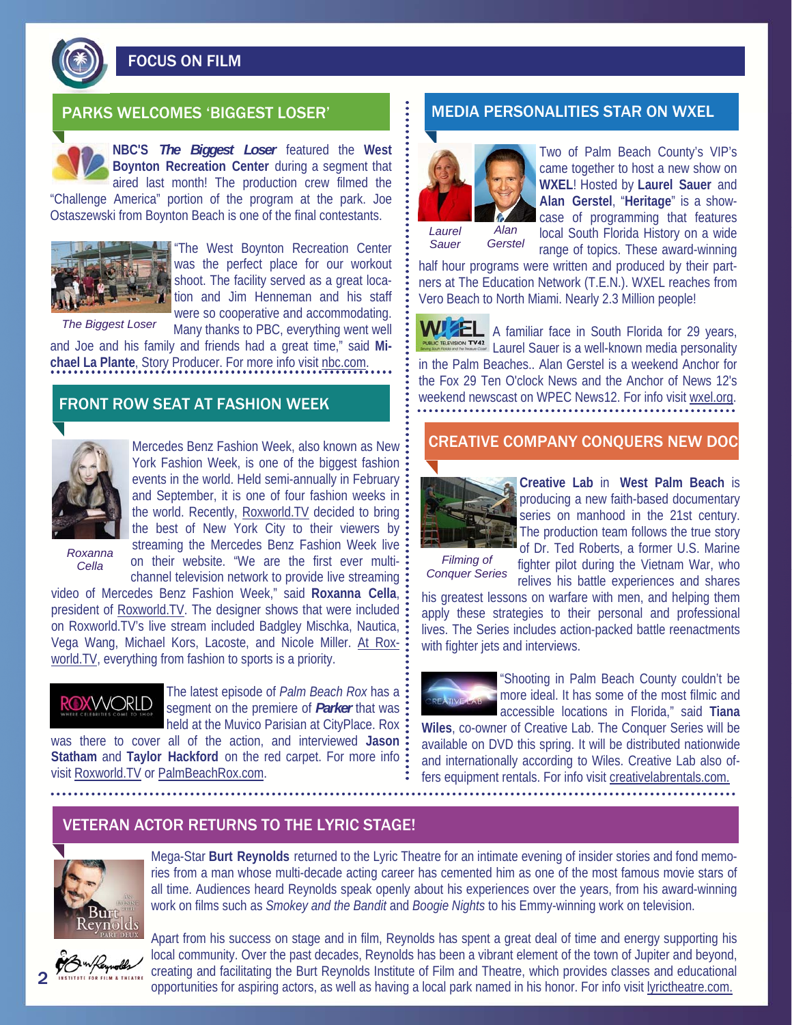

FOCUS ON FILM

**NBC'S** *The Biggest Loser* featured the **West Boynton Recreation Center** during a segment that aired last month! The production crew filmed the

"Challenge America" portion of the program at the park. Joe Ostaszewski from Boynton Beach is one of the final contestants.



"The West Boynton Recreation Center was the perfect place for our workout shoot. The facility served as a great location and Jim Henneman and his staff were so cooperative and accommodating. Many thanks to PBC, everything went well

*The Biggest Loser* 

and Joe and his family and friends had a great time," said **Mi**chael La Plante, Story Producer. For more info visit nbc.com.

# FRONT ROW SEAT AT FASHION WEEK



Mercedes Benz Fashion Week, also known as New York Fashion Week, is one of the biggest fashion events in the world. Held semi-annually in February: and September, it is one of four fashion weeks in the world. Recently, Roxworld.TV decided to bring: the best of New York City to their viewers by: streaming the Mercedes Benz Fashion Week live on their website. "We are the first ever multi-*Cella Filming of*  channel television network to provide live streaming

*Roxanna* 

video of Mercedes Benz Fashion Week," said **Roxanna Cella**, president of Roxworld.TV. The designer shows that were included on Roxworld.TV's live stream included Badgley Mischka, Nautica, Vega Wang, Michael Kors, Lacoste, and Nicole Miller. At Roxworld.TV, everything from fashion to sports is a priority.



The latest episode of *Palm Beach Rox* has a segment on the premiere of *Parker* that was held at the Muvico Parisian at CityPlace. Rox

was there to cover all of the action, and interviewed **Jason Statham** and **Taylor Hackford** on the red carpet. For more info visit Roxworld.TV or PalmBeachRox.com.

# PARKS WELCOMES 'BIGGEST LOSER' NEDIA PERSONALITIES STAR ON WXEL



Two of Palm Beach County's VIP's came together to host a new show on **WXEL**! Hosted by **Laurel Sauer** and **Alan Gerstel**, "**Heritage**" is a showcase of programming that features local South Florida History on a wide

*Sauer Gerstel* 

range of topics. These award-winning half hour programs were written and produced by their partners at The Education Network (T.E.N.). WXEL reaches from Vero Beach to North Miami. Nearly 2.3 Million people!

**WIZEL** A familiar face in South Florida for 29 years, **RABLIC TELEVISION TY42** Laurel Sauer is a well-known media personality in the Palm Beaches.. Alan Gerstel is a weekend Anchor for the Fox 29 Ten O'clock News and the Anchor of News 12's weekend newscast on WPEC News12. For info visit wxel.org.

## CREATIVE COMPANY CONQUERS NEW DOC



**Creative Lab** in **West Palm Beach** is producing a new faith-based documentary series on manhood in the 21st century. The production team follows the true story of Dr. Ted Roberts, a former U.S. Marine

*Conquer Series* 

with fighter jets and interviews.

fighter pilot during the Vietnam War, who relives his battle experiences and shares his greatest lessons on warfare with men, and helping them apply these strategies to their personal and professional lives. The Series includes action-packed battle reenactments



"Shooting in Palm Beach County couldn't be more ideal. It has some of the most filmic and accessible locations in Florida," said **Tiana** 

**Wiles**, co-owner of Creative Lab. The Conquer Series will be available on DVD this spring. It will be distributed nationwide and internationally according to Wiles. Creative Lab also offers equipment rentals. For info visit creativelabrentals.com.

## VETERAN ACTOR RETURNS TO THE LYRIC STAGE!



Mega-Star **Burt Reynolds** returned to the Lyric Theatre for an intimate evening of insider stories and fond memories from a man whose multi-decade acting career has cemented him as one of the most famous movie stars of all time. Audiences heard Reynolds speak openly about his experiences over the years, from his award-winning work on films such as *Smokey and the Bandit* and *Boogie Nights* to his Emmy-winning work on television.



Apart from his success on stage and in film, Reynolds has spent a great deal of time and energy supporting his local community. Over the past decades, Reynolds has been a vibrant element of the town of Jupiter and beyond, creating and facilitating the Burt Reynolds Institute of Film and Theatre, which provides classes and educational opportunities for aspiring actors, as well as having a local park named in his honor. For info visit lyrictheatre.com.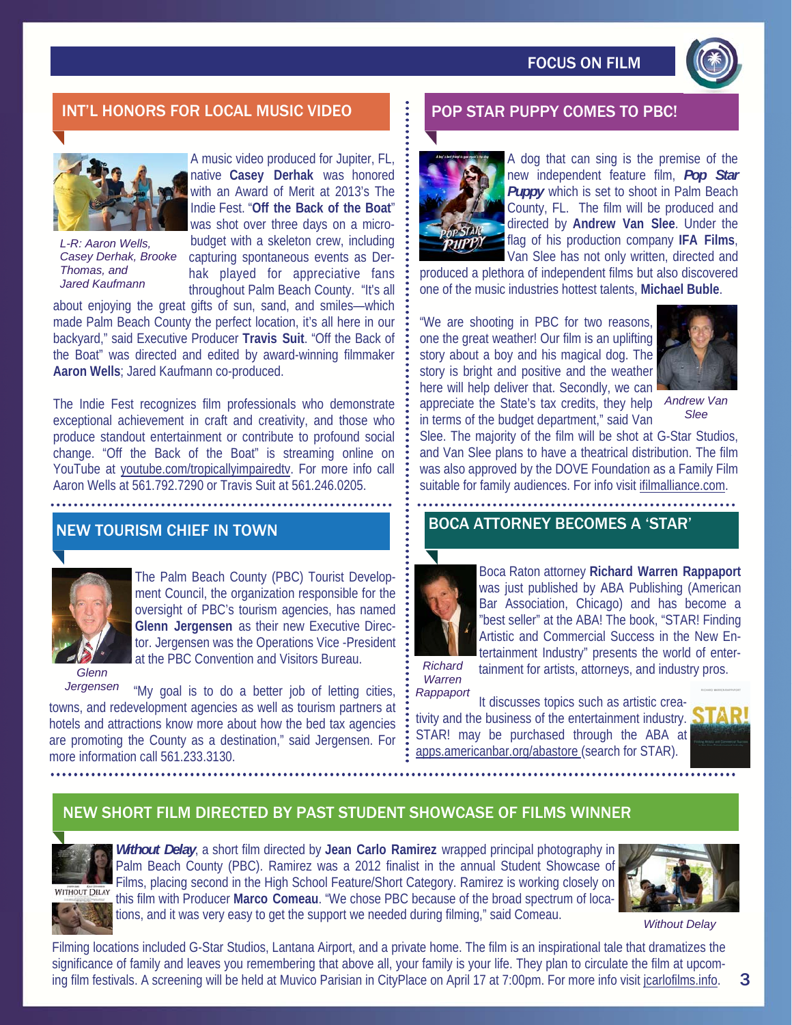

# INT'L HONORS FOR LOCAL MUSIC VIDEO **Polity For Star Puppy Comes to PBC!**



*L-R: Aaron Wells, Casey Derhak, Brooke Thomas, and Jared Kaufmann* 

A music video produced for Jupiter, FL, native **Casey Derhak** was honored with an Award of Merit at 2013's The Indie Fest. "**Off the Back of the Boat**" was shot over three days on a microbudget with a skeleton crew, including capturing spontaneous events as Derhak played for appreciative fans throughout Palm Beach County. "It's all

about enjoying the great gifts of sun, sand, and smiles—which made Palm Beach County the perfect location, it's all here in our backyard," said Executive Producer **Travis Suit**. "Off the Back of the Boat" was directed and edited by award-winning filmmaker **Aaron Wells**; Jared Kaufmann co-produced.

The Indie Fest recognizes film professionals who demonstrate exceptional achievement in craft and creativity, and those who produce standout entertainment or contribute to profound social change. "Off the Back of the Boat" is streaming online on YouTube at youtube.com/tropicallyimpairedtv. For more info call Aaron Wells at 561.792.7290 or Travis Suit at 561.246.0205.

# NEW TOURISM CHIEF IN TOWN



The Palm Beach County (PBC) Tourist Development Council, the organization responsible for the oversight of PBC's tourism agencies, has named **Glenn Jergensen** as their new Executive Director. Jergensen was the Operations Vice -President at the PBC Convention and Visitors Bureau.

*Glenn Jergensen* 

"My goal is to do a better job of letting cities, towns, and redevelopment agencies as well as tourism partners at hotels and attractions know more about how the bed tax agencies are promoting the County as a destination," said Jergensen. For more information call 561.233.3130.



A dog that can sing is the premise of the new independent feature film, *Pop Star*  **Puppy** which is set to shoot in Palm Beach County, FL. The film will be produced and directed by **Andrew Van Slee**. Under the flag of his production company **IFA Films**, Van Slee has not only written, directed and

produced a plethora of independent films but also discovered one of the music industries hottest talents, **Michael Buble**.

"We are shooting in PBC for two reasons, one the great weather! Our film is an uplifting story about a boy and his magical dog. The story is bright and positive and the weather here will help deliver that. Secondly, we can appreciate the State's tax credits, they help in terms of the budget department," said Van



*Andrew Van Slee* 

Slee. The majority of the film will be shot at G-Star Studios, and Van Slee plans to have a theatrical distribution. The film was also approved by the DOVE Foundation as a Family Film suitable for family audiences. For info visit ifilmalliance.com.

## BOCA ATTORNEY BECOMES A 'STAR'



Boca Raton attorney **Richard Warren Rappaport**  was just published by ABA Publishing (American Bar Association, Chicago) and has become a "best seller" at the ABA! The book, "STAR! Finding Artistic and Commercial Success in the New Entertainment Industry" presents the world of entertainment for artists, attorneys, and industry pros.

*Richard Warren Rappaport* 

It discusses topics such as artistic creativity and the business of the entertainment industry. STAR! may be purchased through the ABA at apps.americanbar.org/abastore (search for STAR).



## NEW SHORT FILM DIRECTED BY PAST STUDENT SHOWCASE OF FILMS WINNER

*Without Delay*, a short film directed by **Jean Carlo Ramirez** wrapped principal photography in Palm Beach County (PBC). Ramirez was a 2012 finalist in the annual Student Showcase of Films, placing second in the High School Feature/Short Category. Ramirez is working closely on **NITHOUT DELAY** this film with Producer **Marco Comeau**. "We chose PBC because of the broad spectrum of locations, and it was very easy to get the support we needed during filming," said Comeau.



*Without Delay* 

Filming locations included G-Star Studios, Lantana Airport, and a private home. The film is an inspirational tale that dramatizes the significance of family and leaves you remembering that above all, your family is your life. They plan to circulate the film at upcoming film festivals. A screening will be held at Muvico Parisian in CityPlace on April 17 at 7:00pm. For more info visit jcarlofilms.info.